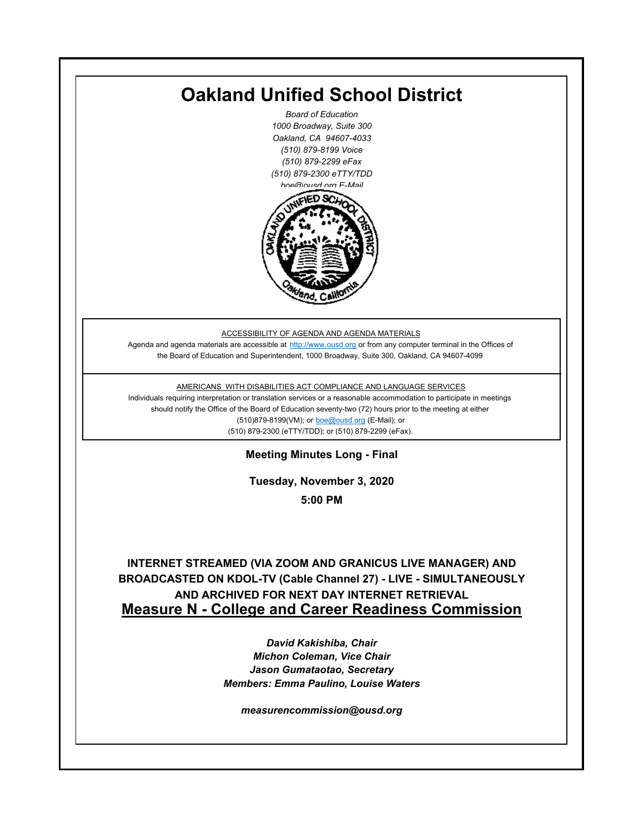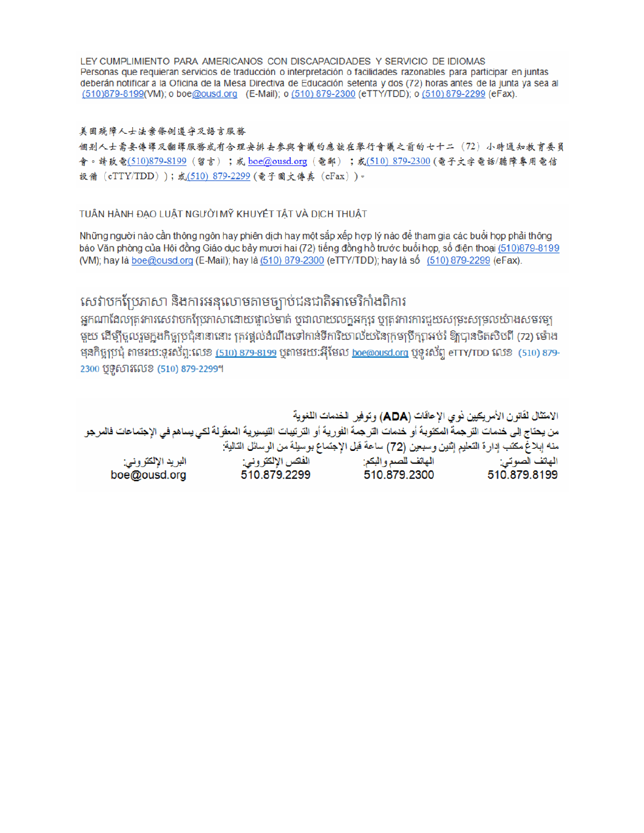LEY CUMPLIMIENTO PARA AMERICANOS CON DISCAPACIDADES Y SERVICIO DE IDIOMAS Personas que requieran servicios de traducción o interpretación o facilidades razonables para participar en juntas deberán notificar a la Oficina de la Mesa Directiva de Educación setenta y dos (72) horas antes de la junta ya sea al (510)879-8199(VM); o boe@ousd.org (E-Mail); o (510) 879-2300 (eTTY/TDD); o (510) 879-2299 (eFax).

#### 美国残障人士法案條例遵守及語言服務

個别人士需要傳譯及翻譯服務或有合理安排去參與會議的應該在舉行會議之前的七十二 (72) 小時通知教育委員 會。請致電(510)879-8199(留言);或 boe@ousd.org (電郵) ;或(510) 879-2300 (電子文字電話/聽障專用電信 設備 (eTTY/TDD));或(510)879-2299(電子圖文傳真 (eFax))。

#### TUÂN HÀNH ĐẠO LUẬT NGƯỜI MỸ KHUYẾT TẤT VÀ DỊCH THUẬT

Những người nào cần thông ngôn hay phiên dịch hay một sắp xếp hợp lý nào để tham gia các buổi họp phải thông báo Văn phòng của Hội đồng Giáo dục bảy mươi hai (72) tiếng đồng hồ trước buổi họp, số điện thoại (510)879-8199 (VM); hay là boe@ousd.org (E-Mail); hay là (510) 879-2300 (eTTY/TDD); hay là số (510) 879-2299 (eFax).

### សេវាបកប្រែភាសា និងការអនុលោមតាមច្បាប់ជនជាតិអាមេរិកាំងពិការ

អកណាដែលតេវការសេវាបកប្រែភាសាដោយផ្ទាល់មាត់ ឬជាលាយលក្ខអក្សរ ឬត្រូវការការជួយសម្រះសម្រលយ៉ាងសមរម្យ មយ ដើម្បីចលរមកងកិច្ចប្រជុំនានានោះ ត្រូវផ្តល់ដំណឹងទៅកាន់ទីការិយាល័យនៃក្រមប្រឹក្សាអប់រំ ឱ្យបានចិតសិបពី (72) ម៉ោង ម្មនកិច្ចប្រជុំ តាមរយៈទូរស័ព្ទ:លេខ (<u>510) 879-8199</u> បុតាមរយៈអ៊ីមែល <u>boe@ousd.org</u> បុទ្**រ**ស័ព្ទ eTTY/TDD លេខ (510) 879-2300 ប៊ូទ្មិសារលេខ (510) 879-2299។

الامتثال لقانون الأمريكيين نو ي الإعاقات (ADA) وتوفير الخدمات اللغوية من يحتاج إلى خدمات التر جمة المكتوبة أو خدمات التر جمة الفورية أو الترتيبات التيسيرية المعفّولة لكي يساهم في الإجتماعات فالمرجو منه إبلاغ مكتب إدارة التعليم إثنين وسبعين (72) ساعة قبل الإجتماع بوسيلة من الوسائل التالية: البريد الإلكتروني: 510.879.2299 boe@ousd.org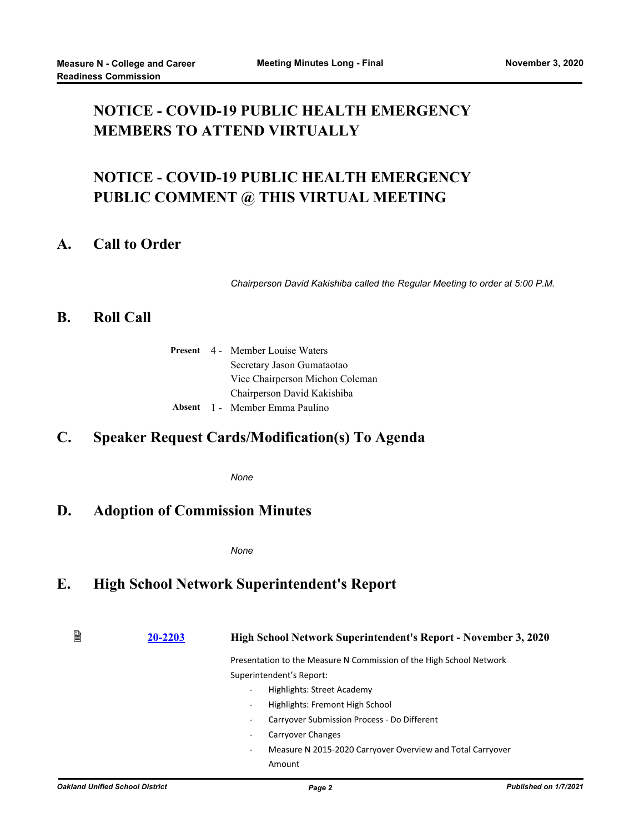# **NOTICE - COVID-19 PUBLIC HEALTH EMERGENCY MEMBERS TO ATTEND VIRTUALLY**

# **NOTICE - COVID-19 PUBLIC HEALTH EMERGENCY PUBLIC COMMENT @ THIS VIRTUAL MEETING**

### **A. Call to Order**

*Chairperson David Kakishiba called the Regular Meeting to order at 5:00 P.M.*

### **B. Roll Call**

|  | <b>Present</b> 4 - Member Louise Waters |
|--|-----------------------------------------|
|  | Secretary Jason Gumataotao              |
|  | Vice Chairperson Michon Coleman         |
|  | Chairperson David Kakishiba             |
|  | Absent 1 - Member Emma Paulino          |

### **C. Speaker Request Cards/Modification(s) To Agenda**

*None*

### **D. Adoption of Commission Minutes**

*None*

### **E. High School Network Superintendent's Report**

閶 **[20-2203](http://ousd.legistar.com/gateway.aspx?m=l&id=/matter.aspx?key=50785) High School Network Superintendent's Report - November 3, 2020** Presentation to the Measure N Commission of the High School Network Superintendent's Report: - Highlights: Street Academy Highlights: Fremont High School - Carryover Submission Process - Do Different Carryover Changes Measure N 2015-2020 Carryover Overview and Total Carryover Amount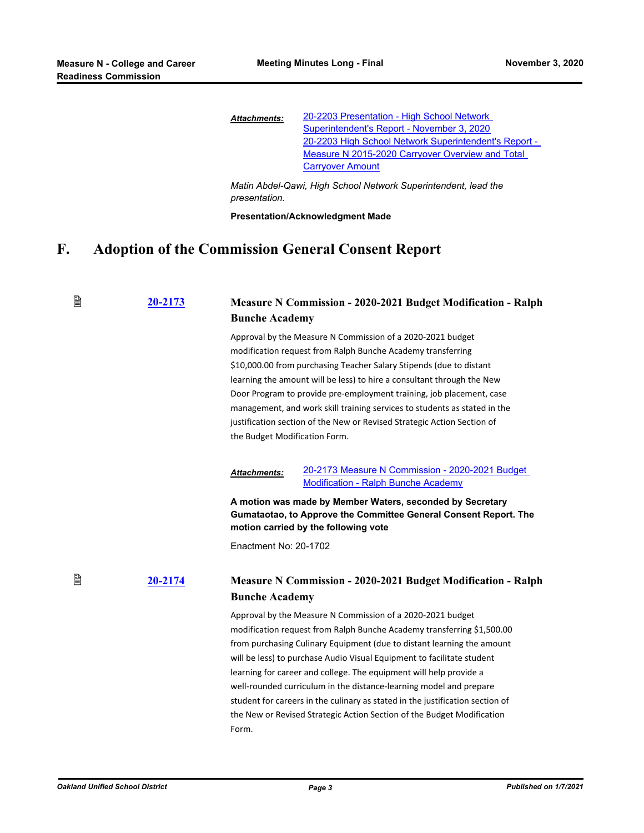| <b>Attachments:</b> | 20-2203 Presentation - High School Network            |
|---------------------|-------------------------------------------------------|
|                     | Superintendent's Report - November 3, 2020            |
|                     | 20-2203 High School Network Superintendent's Report - |
|                     | Measure N 2015-2020 Carryover Overview and Total      |
|                     | <b>Carryover Amount</b>                               |

*Matin Abdel-Qawi, High School Network Superintendent, lead the presentation.*

**Presentation/Acknowledgment Made**

# **F. Adoption of the Commission General Consent Report**

| B            | 20-2173 | <b>Bunche Academy</b>                                                                                                                                                                                                                                                                                                                                                                                                                                                                                                                       | <b>Measure N Commission - 2020-2021 Budget Modification - Ralph</b>                                                                                                                                                                                                                                                                                                                                                                                                                                                                                                                             |  |  |  |
|--------------|---------|---------------------------------------------------------------------------------------------------------------------------------------------------------------------------------------------------------------------------------------------------------------------------------------------------------------------------------------------------------------------------------------------------------------------------------------------------------------------------------------------------------------------------------------------|-------------------------------------------------------------------------------------------------------------------------------------------------------------------------------------------------------------------------------------------------------------------------------------------------------------------------------------------------------------------------------------------------------------------------------------------------------------------------------------------------------------------------------------------------------------------------------------------------|--|--|--|
|              |         | Approval by the Measure N Commission of a 2020-2021 budget<br>modification request from Ralph Bunche Academy transferring<br>\$10,000.00 from purchasing Teacher Salary Stipends (due to distant<br>learning the amount will be less) to hire a consultant through the New<br>Door Program to provide pre-employment training, job placement, case<br>management, and work skill training services to students as stated in the<br>justification section of the New or Revised Strategic Action Section of<br>the Budget Modification Form. |                                                                                                                                                                                                                                                                                                                                                                                                                                                                                                                                                                                                 |  |  |  |
|              |         | <b>Attachments:</b>                                                                                                                                                                                                                                                                                                                                                                                                                                                                                                                         | 20-2173 Measure N Commission - 2020-2021 Budget<br><b>Modification - Ralph Bunche Academy</b>                                                                                                                                                                                                                                                                                                                                                                                                                                                                                                   |  |  |  |
|              |         | A motion was made by Member Waters, seconded by Secretary<br>Gumataotao, to Approve the Committee General Consent Report. The<br>motion carried by the following vote                                                                                                                                                                                                                                                                                                                                                                       |                                                                                                                                                                                                                                                                                                                                                                                                                                                                                                                                                                                                 |  |  |  |
|              |         | Enactment No: 20-1702                                                                                                                                                                                                                                                                                                                                                                                                                                                                                                                       |                                                                                                                                                                                                                                                                                                                                                                                                                                                                                                                                                                                                 |  |  |  |
| B<br>20-2174 |         | <b>Bunche Academy</b>                                                                                                                                                                                                                                                                                                                                                                                                                                                                                                                       | <b>Measure N Commission - 2020-2021 Budget Modification - Ralph</b>                                                                                                                                                                                                                                                                                                                                                                                                                                                                                                                             |  |  |  |
|              |         | Form.                                                                                                                                                                                                                                                                                                                                                                                                                                                                                                                                       | Approval by the Measure N Commission of a 2020-2021 budget<br>modification request from Ralph Bunche Academy transferring \$1,500.00<br>from purchasing Culinary Equipment (due to distant learning the amount<br>will be less) to purchase Audio Visual Equipment to facilitate student<br>learning for career and college. The equipment will help provide a<br>well-rounded curriculum in the distance-learning model and prepare<br>student for careers in the culinary as stated in the justification section of<br>the New or Revised Strategic Action Section of the Budget Modification |  |  |  |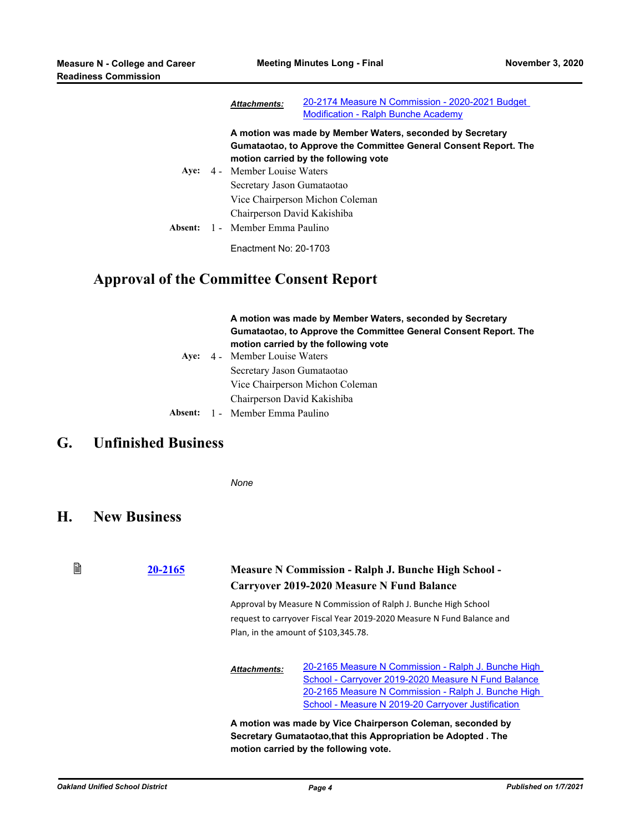|      | <b>Attachments:</b>                                                   | 20-2174 Measure N Commission - 2020-2021 Budget<br><b>Modification - Ralph Bunche Academy</b>            |
|------|-----------------------------------------------------------------------|----------------------------------------------------------------------------------------------------------|
|      |                                                                       | A motion was made by Member Waters, seconded by Secretary                                                |
| Ave: | 4 - Member Louise Waters                                              | Gumataotao, to Approve the Committee General Consent Report. The<br>motion carried by the following vote |
|      | Secretary Jason Gumataotao                                            | Vice Chairperson Michon Coleman                                                                          |
|      | Chairperson David Kakishiba<br><b>Absent:</b> 1 - Member Emma Paulino |                                                                                                          |
|      | Enactment No: 20-1703                                                 |                                                                                                          |

### **Approval of the Committee Consent Report**

#### **A motion was made by Member Waters, seconded by Secretary Gumataotao, to Approve the Committee General Consent Report. The motion carried by the following vote Aye:** Member Louise Waters

Secretary Jason Gumataotao Vice Chairperson Michon Coleman Chairperson David Kakishiba Ave:  $4 -$ **Absent:** 1 - Member Emma Paulino

### **G. Unfinished Business**

*None*

### **H. New Business**

#### 昏 **[20-2165](http://ousd.legistar.com/gateway.aspx?m=l&id=/matter.aspx?key=50747) Measure N Commission - Ralph J. Bunche High School - Carryover 2019-2020 Measure N Fund Balance**

Approval by Measure N Commission of Ralph J. Bunche High School request to carryover Fiscal Year 2019-2020 Measure N Fund Balance and Plan, in the amount of \$103,345.78.

[20-2165 Measure N Commission - Ralph J. Bunche High](http://ousd.legistar.com/gateway.aspx?M=F&ID=96666.pdf)  School - Carryover 2019-2020 Measure N Fund Balance [20-2165 Measure N Commission - Ralph J. Bunche High](http://ousd.legistar.com/gateway.aspx?M=F&ID=96664.pdf)  School - Measure N 2019-20 Carryover Justification *Attachments:*

**A motion was made by Vice Chairperson Coleman, seconded by Secretary Gumataotao,that this Appropriation be Adopted . The motion carried by the following vote.**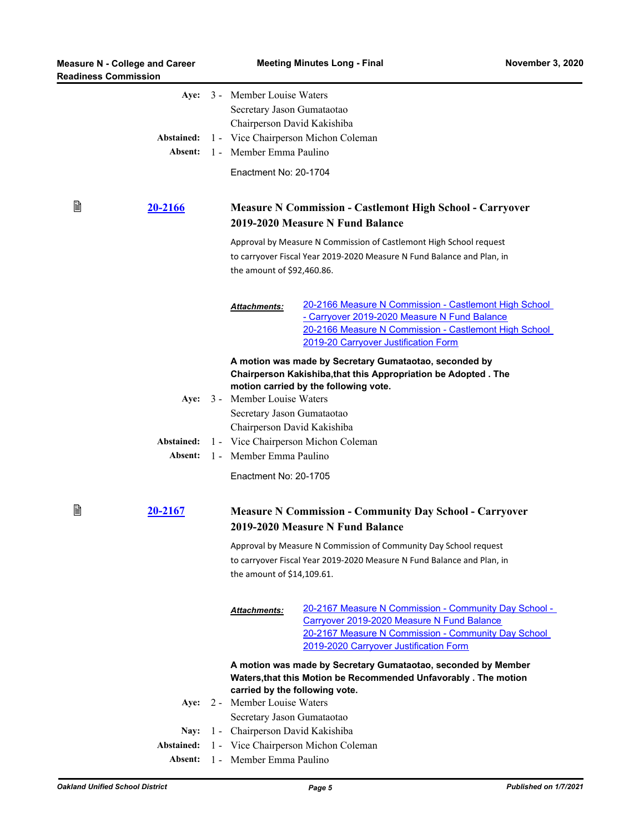| B | Abstained:<br>Absent:<br><u>20-2166</u> |                                                                    | Aye: 3 - Member Louise Waters<br>Secretary Jason Gumataotao<br>Chairperson David Kakishiba<br>1 - Vice Chairperson Michon Coleman<br>1 - Member Emma Paulino<br>Enactment No: 20-1704<br><b>Measure N Commission - Castlemont High School - Carryover</b> |                                                                                                                                                                                                        |  |
|---|-----------------------------------------|--------------------------------------------------------------------|-----------------------------------------------------------------------------------------------------------------------------------------------------------------------------------------------------------------------------------------------------------|--------------------------------------------------------------------------------------------------------------------------------------------------------------------------------------------------------|--|
|   |                                         |                                                                    | 2019-2020 Measure N Fund Balance<br>Approval by Measure N Commission of Castlemont High School request<br>to carryover Fiscal Year 2019-2020 Measure N Fund Balance and Plan, in<br>the amount of \$92,460.86.                                            |                                                                                                                                                                                                        |  |
|   |                                         |                                                                    | <b>Attachments:</b>                                                                                                                                                                                                                                       | 20-2166 Measure N Commission - Castlemont High School<br>- Carryover 2019-2020 Measure N Fund Balance<br>20-2166 Measure N Commission - Castlemont High School<br>2019-20 Carryover Justification Form |  |
|   |                                         |                                                                    |                                                                                                                                                                                                                                                           | A motion was made by Secretary Gumataotao, seconded by                                                                                                                                                 |  |
|   |                                         |                                                                    |                                                                                                                                                                                                                                                           | Chairperson Kakishiba, that this Appropriation be Adopted. The                                                                                                                                         |  |
|   |                                         |                                                                    | Aye: 3 - Member Louise Waters                                                                                                                                                                                                                             | motion carried by the following vote.                                                                                                                                                                  |  |
|   |                                         |                                                                    | Secretary Jason Gumataotao                                                                                                                                                                                                                                |                                                                                                                                                                                                        |  |
|   |                                         |                                                                    | Chairperson David Kakishiba<br>1 - Vice Chairperson Michon Coleman<br>1 - Member Emma Paulino                                                                                                                                                             |                                                                                                                                                                                                        |  |
|   | Abstained:                              |                                                                    |                                                                                                                                                                                                                                                           |                                                                                                                                                                                                        |  |
|   | Absent:                                 |                                                                    |                                                                                                                                                                                                                                                           |                                                                                                                                                                                                        |  |
|   |                                         |                                                                    | Enactment No: 20-1705                                                                                                                                                                                                                                     |                                                                                                                                                                                                        |  |
| 閶 | 20-2167                                 |                                                                    |                                                                                                                                                                                                                                                           | <b>Measure N Commission - Community Day School - Carryover</b><br>2019-2020 Measure N Fund Balance                                                                                                     |  |
|   |                                         |                                                                    | Approval by Measure N Commission of Community Day School request<br>to carryover Fiscal Year 2019-2020 Measure N Fund Balance and Plan, in<br>the amount of \$14,109.61.                                                                                  |                                                                                                                                                                                                        |  |
|   |                                         |                                                                    | <u>Attachments:</u>                                                                                                                                                                                                                                       | 20-2167 Measure N Commission - Community Day School -<br>Carryover 2019-2020 Measure N Fund Balance<br>20-2167 Measure N Commission - Community Day School<br>2019-2020 Carryover Justification Form   |  |
|   |                                         |                                                                    |                                                                                                                                                                                                                                                           | A motion was made by Secretary Gumataotao, seconded by Member                                                                                                                                          |  |
|   |                                         |                                                                    | Waters, that this Motion be Recommended Unfavorably. The motion                                                                                                                                                                                           |                                                                                                                                                                                                        |  |
|   |                                         |                                                                    | carried by the following vote.<br>2 - Member Louise Waters                                                                                                                                                                                                |                                                                                                                                                                                                        |  |
|   | Aye:                                    |                                                                    |                                                                                                                                                                                                                                                           |                                                                                                                                                                                                        |  |
|   | Nay:                                    | Secretary Jason Gumataotao<br>Chairperson David Kakishiba<br>$1 -$ |                                                                                                                                                                                                                                                           |                                                                                                                                                                                                        |  |
|   | Abstained:                              | 1 - Vice Chairperson Michon Coleman                                |                                                                                                                                                                                                                                                           |                                                                                                                                                                                                        |  |
|   |                                         |                                                                    |                                                                                                                                                                                                                                                           |                                                                                                                                                                                                        |  |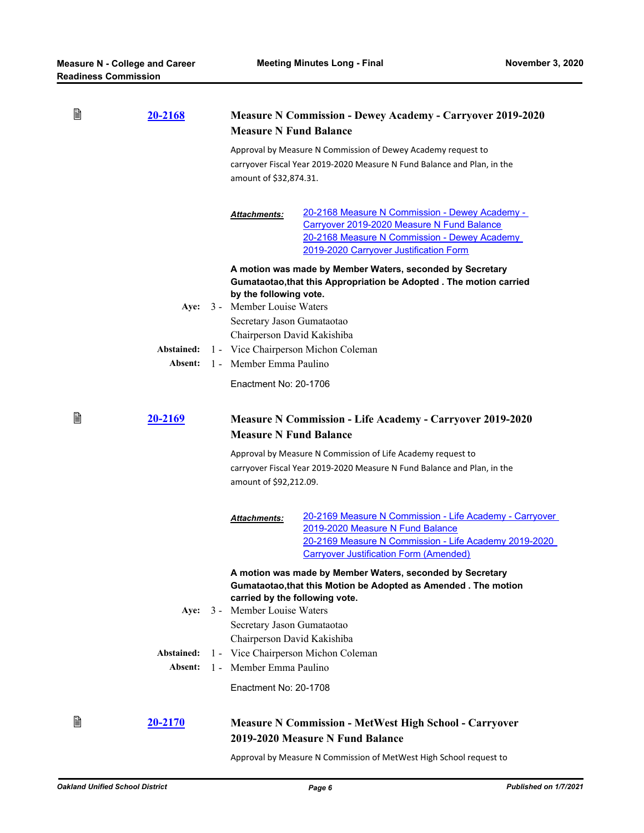| B            | <u>20-2168</u>        |       | <b>Measure N Commission - Dewey Academy - Carryover 2019-2020</b><br><b>Measure N Fund Balance</b>                                                                |                                                                                                                                                                                                       |  |  |
|--------------|-----------------------|-------|-------------------------------------------------------------------------------------------------------------------------------------------------------------------|-------------------------------------------------------------------------------------------------------------------------------------------------------------------------------------------------------|--|--|
|              |                       |       | Approval by Measure N Commission of Dewey Academy request to<br>carryover Fiscal Year 2019-2020 Measure N Fund Balance and Plan, in the<br>amount of \$32,874.31. |                                                                                                                                                                                                       |  |  |
|              |                       |       | Attachments:                                                                                                                                                      | 20-2168 Measure N Commission - Dewey Academy -<br>Carryover 2019-2020 Measure N Fund Balance<br>20-2168 Measure N Commission - Dewey Academy<br>2019-2020 Carryover Justification Form                |  |  |
|              |                       |       | by the following vote.                                                                                                                                            | A motion was made by Member Waters, seconded by Secretary<br>Gumataotao, that this Appropriation be Adopted. The motion carried                                                                       |  |  |
|              | Aye:                  |       | 3 - Member Louise Waters<br>Secretary Jason Gumataotao                                                                                                            |                                                                                                                                                                                                       |  |  |
|              |                       |       | Chairperson David Kakishiba                                                                                                                                       |                                                                                                                                                                                                       |  |  |
|              | Abstained:            |       | 1 - Vice Chairperson Michon Coleman                                                                                                                               |                                                                                                                                                                                                       |  |  |
|              | Absent:               |       | 1 - Member Emma Paulino                                                                                                                                           |                                                                                                                                                                                                       |  |  |
|              |                       |       | Enactment No: 20-1706                                                                                                                                             |                                                                                                                                                                                                       |  |  |
| B<br>20-2169 |                       |       | <b>Measure N Commission - Life Academy - Carryover 2019-2020</b><br><b>Measure N Fund Balance</b>                                                                 |                                                                                                                                                                                                       |  |  |
|              |                       |       | Approval by Measure N Commission of Life Academy request to<br>carryover Fiscal Year 2019-2020 Measure N Fund Balance and Plan, in the<br>amount of \$92,212.09.  |                                                                                                                                                                                                       |  |  |
|              |                       |       | <b>Attachments:</b>                                                                                                                                               | 20-2169 Measure N Commission - Life Academy - Carryover<br>2019-2020 Measure N Fund Balance<br>20-2169 Measure N Commission - Life Academy 2019-2020<br><b>Carryover Justification Form (Amended)</b> |  |  |
|              |                       |       | A motion was made by Member Waters, seconded by Secretary<br>Gumataotao, that this Motion be Adopted as Amended. The motion<br>carried by the following vote.     |                                                                                                                                                                                                       |  |  |
|              | Aye:                  |       | 3 - Member Louise Waters                                                                                                                                          |                                                                                                                                                                                                       |  |  |
|              |                       |       | Secretary Jason Gumataotao                                                                                                                                        |                                                                                                                                                                                                       |  |  |
|              |                       |       | Chairperson David Kakishiba                                                                                                                                       |                                                                                                                                                                                                       |  |  |
|              | Abstained:<br>Absent: | $1 -$ | 1 - Vice Chairperson Michon Coleman<br>Member Emma Paulino                                                                                                        |                                                                                                                                                                                                       |  |  |
|              |                       |       | Enactment No: 20-1708                                                                                                                                             |                                                                                                                                                                                                       |  |  |
| B            | 20-2170               |       |                                                                                                                                                                   | <b>Measure N Commission - MetWest High School - Carryover</b><br>2019-2020 Measure N Fund Balance                                                                                                     |  |  |

Approval by Measure N Commission of MetWest High School request to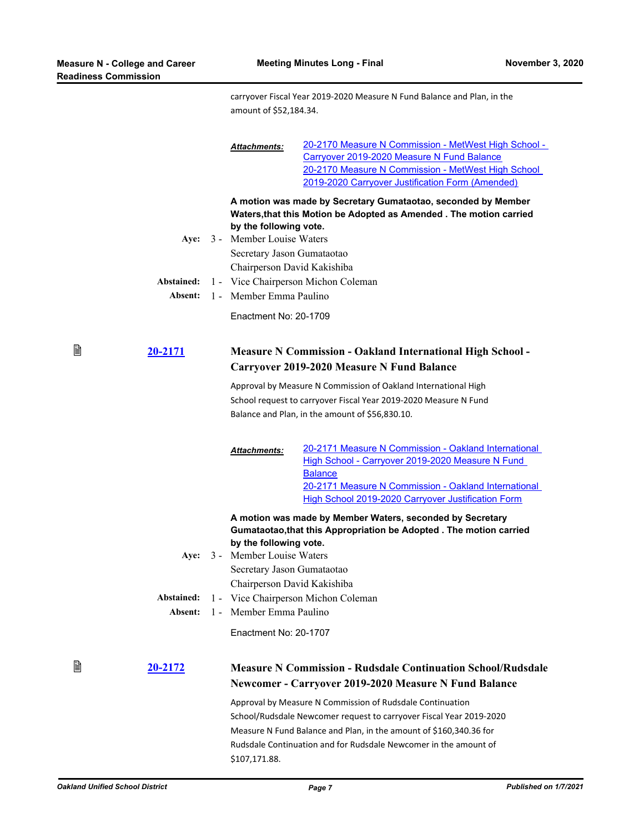₿

carryover Fiscal Year 2019-2020 Measure N Fund Balance and Plan, in the amount of \$52,184.34.

|                       | <b>Attachments:</b>                                                                                                  | 20-2170 Measure N Commission - MetWest High School -                                                                                                                                                                                            |  |
|-----------------------|----------------------------------------------------------------------------------------------------------------------|-------------------------------------------------------------------------------------------------------------------------------------------------------------------------------------------------------------------------------------------------|--|
|                       |                                                                                                                      | Carryover 2019-2020 Measure N Fund Balance                                                                                                                                                                                                      |  |
|                       |                                                                                                                      | 20-2170 Measure N Commission - MetWest High School                                                                                                                                                                                              |  |
|                       |                                                                                                                      | 2019-2020 Carryover Justification Form (Amended)                                                                                                                                                                                                |  |
| Abstained:            | by the following vote.<br>Aye: 3 - Member Louise Waters<br>Secretary Jason Gumataotao<br>Chairperson David Kakishiba | A motion was made by Secretary Gumataotao, seconded by Member<br>Waters, that this Motion be Adopted as Amended. The motion carried<br>1 - Vice Chairperson Michon Coleman                                                                      |  |
| Absent:               | 1 - Member Emma Paulino                                                                                              |                                                                                                                                                                                                                                                 |  |
|                       | Enactment No: 20-1709                                                                                                |                                                                                                                                                                                                                                                 |  |
| 20-2171               | <b>Measure N Commission - Oakland International High School -</b><br>Carryover 2019-2020 Measure N Fund Balance      |                                                                                                                                                                                                                                                 |  |
|                       |                                                                                                                      | Approval by Measure N Commission of Oakland International High                                                                                                                                                                                  |  |
|                       |                                                                                                                      | School request to carryover Fiscal Year 2019-2020 Measure N Fund                                                                                                                                                                                |  |
|                       | Balance and Plan, in the amount of \$56,830.10.                                                                      |                                                                                                                                                                                                                                                 |  |
|                       | <b>Attachments:</b>                                                                                                  | 20-2171 Measure N Commission - Oakland International<br>High School - Carryover 2019-2020 Measure N Fund<br><b>Balance</b><br>20-2171 Measure N Commission - Oakland International<br><b>High School 2019-2020 Carryover Justification Form</b> |  |
|                       |                                                                                                                      | A motion was made by Member Waters, seconded by Secretary<br>Gumataotao, that this Appropriation be Adopted. The motion carried                                                                                                                 |  |
|                       | by the following vote.                                                                                               |                                                                                                                                                                                                                                                 |  |
| Ave:                  | 3 - Member Louise Waters                                                                                             |                                                                                                                                                                                                                                                 |  |
|                       | Secretary Jason Gumataotao                                                                                           |                                                                                                                                                                                                                                                 |  |
|                       | Chairperson David Kakishiba                                                                                          |                                                                                                                                                                                                                                                 |  |
| Abstained:<br>Absent: | 1 - Member Emma Paulino                                                                                              | 1 - Vice Chairperson Michon Coleman                                                                                                                                                                                                             |  |
|                       |                                                                                                                      |                                                                                                                                                                                                                                                 |  |
|                       | Enactment No: 20-1707                                                                                                |                                                                                                                                                                                                                                                 |  |
| 20-2172               |                                                                                                                      | <b>Measure N Commission - Rudsdale Continuation School/Rudsdale</b>                                                                                                                                                                             |  |
|                       |                                                                                                                      | Newcomer - Carryover 2019-2020 Measure N Fund Balance                                                                                                                                                                                           |  |
|                       |                                                                                                                      | Approval by Measure N Commission of Rudsdale Continuation                                                                                                                                                                                       |  |
|                       |                                                                                                                      | School/Rudsdale Newcomer request to carryover Fiscal Year 2019-2020                                                                                                                                                                             |  |
|                       |                                                                                                                      | Measure N Fund Balance and Plan, in the amount of \$160,340.36 for                                                                                                                                                                              |  |
|                       | \$107,171.88.                                                                                                        | Rudsdale Continuation and for Rudsdale Newcomer in the amount of                                                                                                                                                                                |  |

₿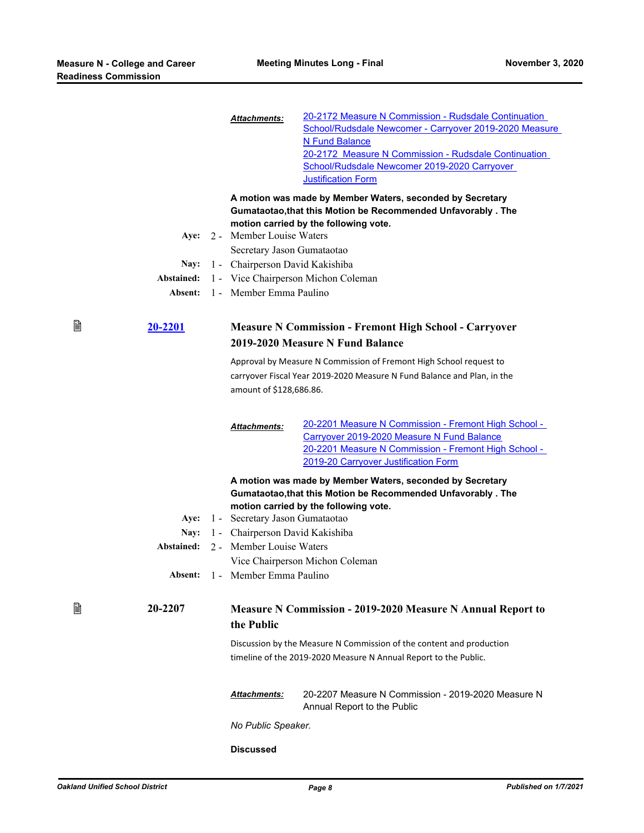|   |                                                                                      |                                                                                                                                                                         | <b>Attachments:</b>                                         | 20-2172 Measure N Commission - Rudsdale Continuation<br>School/Rudsdale Newcomer - Carryover 2019-2020 Measure<br>N Fund Balance<br>20-2172 Measure N Commission - Rudsdale Continuation<br>School/Rudsdale Newcomer 2019-2020 Carryover<br><b>Justification Form</b> |
|---|--------------------------------------------------------------------------------------|-------------------------------------------------------------------------------------------------------------------------------------------------------------------------|-------------------------------------------------------------|-----------------------------------------------------------------------------------------------------------------------------------------------------------------------------------------------------------------------------------------------------------------------|
|   |                                                                                      |                                                                                                                                                                         |                                                             | A motion was made by Member Waters, seconded by Secretary<br>Gumataotao, that this Motion be Recommended Unfavorably. The<br>motion carried by the following vote.                                                                                                    |
|   |                                                                                      |                                                                                                                                                                         | Aye: 2 - Member Louise Waters<br>Secretary Jason Gumataotao |                                                                                                                                                                                                                                                                       |
|   | Nay:                                                                                 |                                                                                                                                                                         |                                                             |                                                                                                                                                                                                                                                                       |
|   | 1 - Chairperson David Kakishiba<br>1 - Vice Chairperson Michon Coleman<br>Abstained: |                                                                                                                                                                         |                                                             |                                                                                                                                                                                                                                                                       |
|   | Absent:                                                                              |                                                                                                                                                                         | 1 - Member Emma Paulino                                     |                                                                                                                                                                                                                                                                       |
| B | 20-2201                                                                              | <b>Measure N Commission - Fremont High School - Carryover</b><br>2019-2020 Measure N Fund Balance<br>Approval by Measure N Commission of Fremont High School request to |                                                             |                                                                                                                                                                                                                                                                       |
|   |                                                                                      |                                                                                                                                                                         | amount of \$128,686.86.                                     | carryover Fiscal Year 2019-2020 Measure N Fund Balance and Plan, in the                                                                                                                                                                                               |
|   |                                                                                      |                                                                                                                                                                         | <b>Attachments:</b>                                         | 20-2201 Measure N Commission - Fremont High School -<br>Carryover 2019-2020 Measure N Fund Balance<br>20-2201 Measure N Commission - Fremont High School -<br>2019-20 Carryover Justification Form                                                                    |
|   |                                                                                      |                                                                                                                                                                         |                                                             | A motion was made by Member Waters, seconded by Secretary<br>Gumataotao, that this Motion be Recommended Unfavorably. The<br>motion carried by the following vote.                                                                                                    |
|   | Aye:                                                                                 |                                                                                                                                                                         | 1 - Secretary Jason Gumataotao                              |                                                                                                                                                                                                                                                                       |
|   | Nay:                                                                                 |                                                                                                                                                                         | 1 - Chairperson David Kakishiba                             |                                                                                                                                                                                                                                                                       |
|   | Abstained:                                                                           |                                                                                                                                                                         | 2 - Member Louise Waters                                    |                                                                                                                                                                                                                                                                       |
|   |                                                                                      |                                                                                                                                                                         |                                                             | Vice Chairperson Michon Coleman                                                                                                                                                                                                                                       |
|   | Absent:                                                                              |                                                                                                                                                                         | 1 - Member Emma Paulino                                     |                                                                                                                                                                                                                                                                       |
| B | 20-2207                                                                              |                                                                                                                                                                         | the Public                                                  | <b>Measure N Commission - 2019-2020 Measure N Annual Report to</b>                                                                                                                                                                                                    |
|   |                                                                                      |                                                                                                                                                                         |                                                             | Discussion by the Measure N Commission of the content and production<br>timeline of the 2019-2020 Measure N Annual Report to the Public.                                                                                                                              |
|   |                                                                                      |                                                                                                                                                                         | <b>Attachments:</b>                                         | 20-2207 Measure N Commission - 2019-2020 Measure N<br>Annual Report to the Public                                                                                                                                                                                     |
|   |                                                                                      |                                                                                                                                                                         | No Public Speaker.                                          |                                                                                                                                                                                                                                                                       |

#### **Discussed**